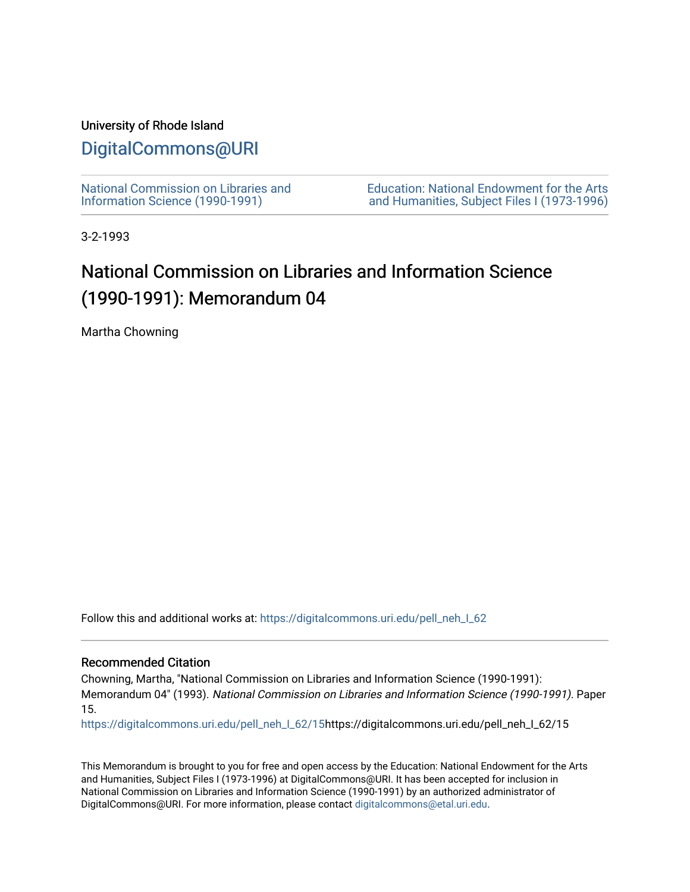# University of Rhode Island

# [DigitalCommons@URI](https://digitalcommons.uri.edu/)

[National Commission on Libraries and](https://digitalcommons.uri.edu/pell_neh_I_62) [Information Science \(1990-1991\)](https://digitalcommons.uri.edu/pell_neh_I_62) 

[Education: National Endowment for the Arts](https://digitalcommons.uri.edu/pell_neh_I)  [and Humanities, Subject Files I \(1973-1996\)](https://digitalcommons.uri.edu/pell_neh_I) 

3-2-1993

# National Commission on Libraries and Information Science (1990-1991): Memorandum 04

Martha Chowning

Follow this and additional works at: [https://digitalcommons.uri.edu/pell\\_neh\\_I\\_62](https://digitalcommons.uri.edu/pell_neh_I_62?utm_source=digitalcommons.uri.edu%2Fpell_neh_I_62%2F15&utm_medium=PDF&utm_campaign=PDFCoverPages) 

## Recommended Citation

Chowning, Martha, "National Commission on Libraries and Information Science (1990-1991): Memorandum 04" (1993). National Commission on Libraries and Information Science (1990-1991). Paper 15.

[https://digitalcommons.uri.edu/pell\\_neh\\_I\\_62/15h](https://digitalcommons.uri.edu/pell_neh_I_62/15?utm_source=digitalcommons.uri.edu%2Fpell_neh_I_62%2F15&utm_medium=PDF&utm_campaign=PDFCoverPages)ttps://digitalcommons.uri.edu/pell\_neh\_I\_62/15

This Memorandum is brought to you for free and open access by the Education: National Endowment for the Arts and Humanities, Subject Files I (1973-1996) at DigitalCommons@URI. It has been accepted for inclusion in National Commission on Libraries and Information Science (1990-1991) by an authorized administrator of DigitalCommons@URI. For more information, please contact [digitalcommons@etal.uri.edu.](mailto:digitalcommons@etal.uri.edu)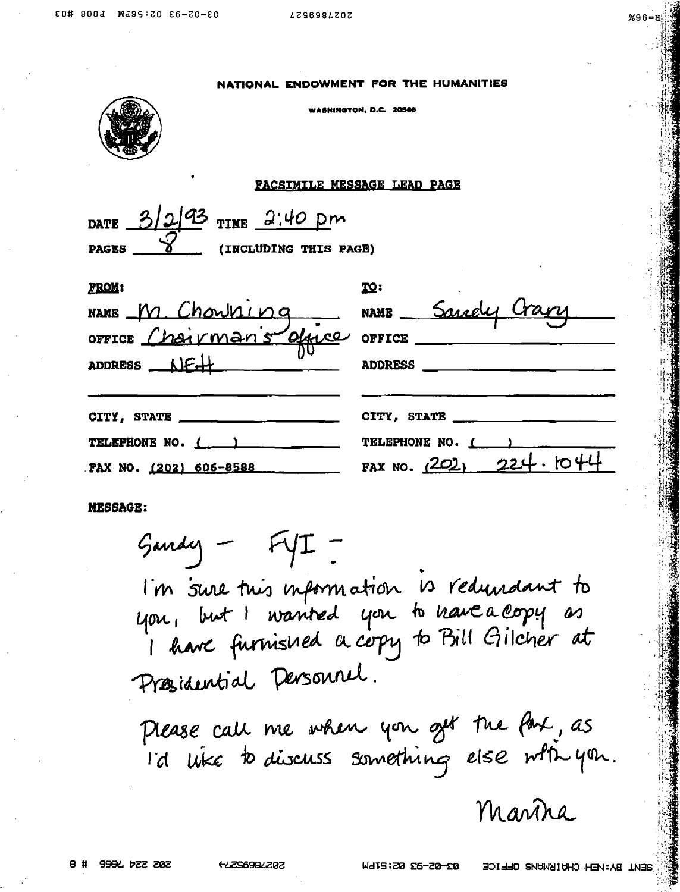| NATIONAL ENDOWMENT FOR THE HUMANITIES |  |  |
|---------------------------------------|--|--|
|                                       |  |  |

.<br>«Авинатом п.с. 20506



## **FACSIMILE MESSAGE LEAD PAGE**

|              | DATE $3/2/93$ TIME 2:40 pm |  |                       |
|--------------|----------------------------|--|-----------------------|
| <b>PAGES</b> |                            |  | (INCLUDING THIS PAGE) |

| <b>FROM:</b>                       | TQ:                      |
|------------------------------------|--------------------------|
| NAME M. Chowning NAME Sandy Crary  |                          |
| OFFICE Chairman's office OFFICE    |                          |
| ADDRESS $N \in \mathbb{H}$         | <b>ADDRESS</b>           |
| CITY, STATE $\qquad \qquad \qquad$ | CITY, STATE _____        |
| TELEPHONE NO. ( )                  | TELEPHONE NO. 1          |
| FAX NO. (202) 606-8588             | FAX NO. $(202)$ 224.1044 |

**MESSAGE:** 

 $G$ andy - FYI -I'm sure this information is redundant to<br>you, but I wanted you to have a copy as<br>I have furnished a copy to Bill Gilcher at Presidential Densonnel.

Please call me when you get the fax, as I'd uike to discuss something else with you.

Mantra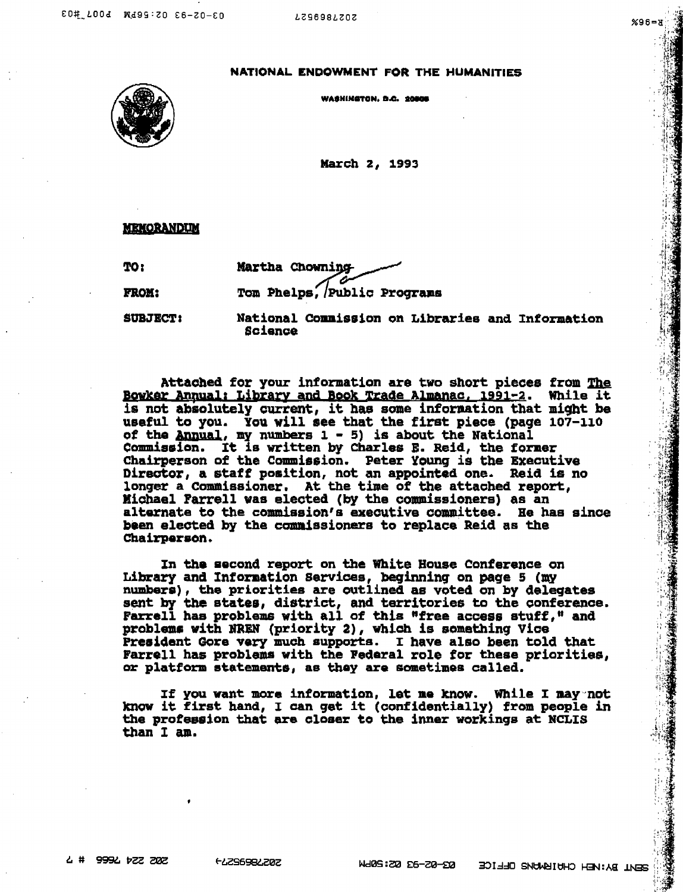$\cdot$   $\cdot$   $\cdot$ 

 $\cdot$  ,  $\cdot$ ,  $\cdot$ 

. ·:·

NATIONAL ENDOWMENT FOR THE HUMANITIES

WASHINGTON. D.C. 20808



March 2, 1993

**MEMORANDUM** 

TOI

PB.OJI:

Martha Chowning Tom Phelps, Public Programs

SlJBJBCT:

National Commission on Libraries and Information Scienoe

Attached for your information are two short pieces from The Bowker Annual: Library and Book Trade Almanac, 1991-2. While it is not absolutely current, it has some inforaation that might be useful to you. You will see that the first piece (page 107-110 of the Annual, my numbers  $1 - 5$ ) is about the National Commission. It is written by Charles E. Reid., the foraer Chairperson of the Commission. Peter Young is the Executive Director, a staff position, not an appointed one. Reid is no longer a Commissioner. At the time of the attached report,<br>Michael Farrell was elected (by the commissioners) as an alternate to the commission's executive committee. Be has since been elected by the commissioners to replace Reid as the Chaiz'paraon.

In the second report on the White House Conference on Library and Information Services, beginning on page 5 (my numbers), the priorities are outlined as voted on by delegates sent by the states, district, and territories to the conference. Farrell has problems with all of this "free access stuff," and problems with lfRIN (priority 2), whiah is somethinq Vice President Gore very much supports. I have also been told that Farrell has problema with the Pedaral role for these priorities, or platform statements, as they are sometimes called.

If you want more information, let me know. While I may not know it first hand, I can get it (confidentially) from people in the profession that are closer to the inner workinqs at NCLIS than I am.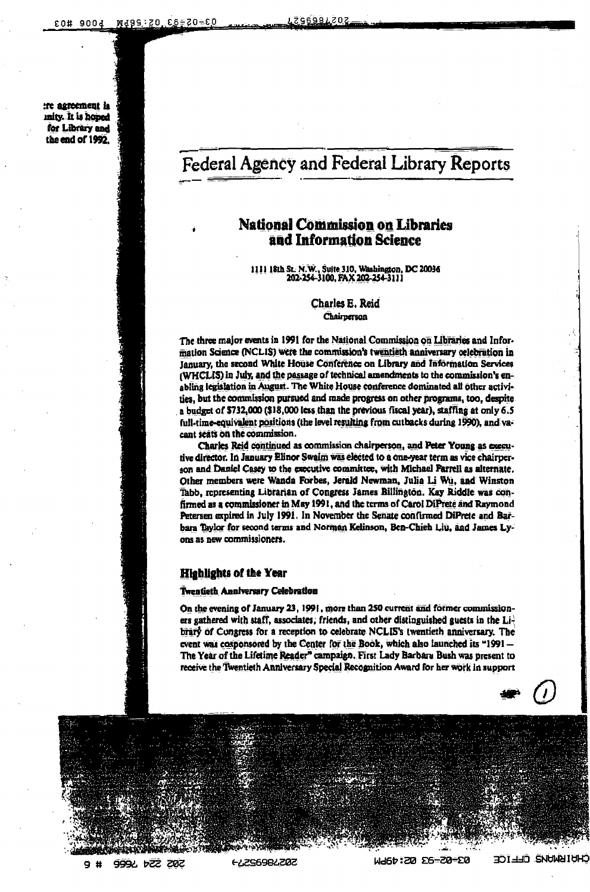:re agreement la mity. It is hoped for Library and the end of 1992.

# Federal Agency and Federal Library Reports

# **National Commission on Libraries** and Information Science

1111 18th St. N.W., Suite 310, Washington, DC 20036<br>202-254-3100, FAX 202-254-3111

Charles E. Reid Chairperson

The three major events in 1991 for the National Commission on Libraries and Information Science (NCLIS) were the commission's twentieth anniversary celebration in January, the second White House Conference on Library and Information Services (WHCLIS) in July, and the passage of technical amendments to the commission's enabling legislation in August. The White House conference dominated all other activities, but the commission pursued and made progress on other programs, too, despite a budget of \$732,000 (\$18,000 less than the previous fiscal year), staffing at only 6.5 full-time-equivalent positions (the level resulting from cutbacks during 1990), and vacant scats on the commission.

Charles Reid continued as commission chairperson, and Peter Young as executive director. In January Elinor Swaim was elected to a one-year term as vice chairperson and Daniel Casey to the executive committee, with Michael Parrell as alternate. Other members were Wanda Forbes, Jerald Newman, Julia Li Wu, and Winston Tabb, representing Librarian of Congress James Billington. Kay Riddle was confirmed as a commissioner in May 1991, and the terms of Carol DiPrete and Raymond Petersen expired in July 1991. In November the Senate confirmed DiPrete and Barbara Taylor for second terms and Norman Kelinson, Ben-Chieh Liu, and James Lyons as new commissioners.

## **Highlights of the Year**

#### **Twentieth Anniversary Celebration**

On the evening of January 23, 1991, more than 250 current and former commissioners gathered with staff, associates, friends, and other distinguished guests in the  $Li<sup>2</sup>$ brary of Congress for a reception to celebrate NCLIS's twentieth anniversary. The event was cosponsored by the Center for the Book, which also launched its "1991 -The Year of the Lifetime Reader" campaign. First Lady Barbara Bush was present to receive the Twentieth Anniversary Special Recognition Award for her work in support

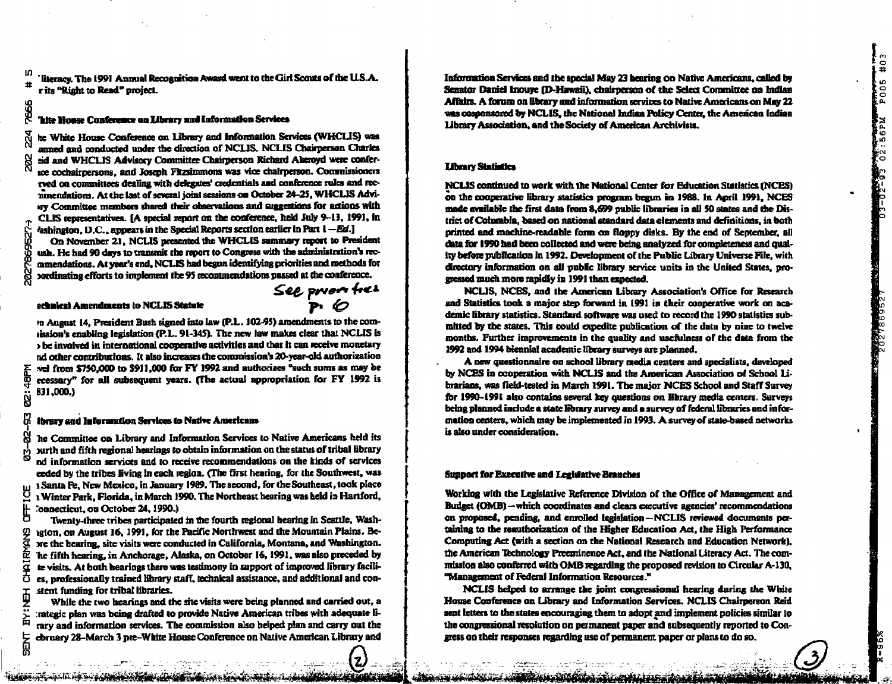literacy. The 1991 Annual Recognition Award went to the Girl Scouts of the U.S.A. r its "Right to Read" project.

#### 'hite House Conference on Library and Information Services

he White House Conference on Library and Information Services (WHCLIS) was anned and conducted under the direction of NCLIS. NCLIS Chairnerson Charles aid and WHCLIS Advisory Committee Chairperson Richard Akeroyd were conferice cochairpersons, and Joseph Fitzsimmons was vice chairperson. Commissioners rved on committees dealing with delegates' credentials and conference rules and recnimendations. At the last of several ioint sessions on October 24-25, WHCLIS Adviry Committee members shared their observations and suggestions for actions with CLIS representatives. [A special report on the conference, held July 9-13, 1991, in /ashington, D.C., appears in the Special Reports section earlier in Part 1-Ed.1

On November 21, NCLIS presented the WHCLIS summary report to President ush. He had 90 days to transmit the report to Congress with the administration's recmmendations. At year's end, NCLIS had began identifying priorities and methods for pordinating efforts to implement the 95 recommendations passed at the conference.

#### echnical Amendments to NCLIS Statute

m August 14, President Bush signed into law (P.L. 102-95) amendments to the comission's enabling legislation (P.L. 91-345). The new law makes clear that NCLIS is be involved in international cooperative activities and that it can receive monetary nd other contributions. It also increases the commission's 20-year-old authorization yel from \$750,000 to \$911,000 for FY 1992 and authorizes "such sums as may be ecessary" for all subsequent years. (The actual appropriation for FY 1992 is B31,000.)

#### ibrary and Information Services to Native Americans

he Committee on Library and Information Services to Native Americans held its surth and fifth regional hearings to obtain information on the status of tribal library nd information services and to receive recommendations on the kinds of services eeded by the tribes living in each region. (The first hearing, for the Southwest, was 1 Santa Fe. New Mexico, in January 1989. The second, for the Southeast, took place 1 Winter Park, Florida, in March 1990. The Northeast hearing was held in Hartford, 'onnecticut, ou October 24, 1990.)

Twenty-three tribes participated in the fourth regional hearing in Seattle, Washexton, on August 16, 1991, for the Pacific Northwest and the Mountain Plains. Beare the hearing, site visits were conducted in California, Montana, and Washington. he fifth hearing, in Anchorage, Alaska, on October 16, 1991, was also preceded by te visits. At both hearings there was testimony in support of improved library facilies, professionally trained library staff, technical assistance, and additional and constent funding for tribal libraries.

While the two hearings and the site visits were being planned and carried out, a rategic plan was being drafted to provide Native American tribes with adequate lirary and information services. The commission also helped plan and carry out the ebruary 28-March 3 pre-White House Conference on Native American Library and

Information Services and the special May 23 hearing on Native Americans, called by Senator Daniel Inouve (D-Hawaii), chairperson of the Select Committee on Indian Affairs. A forum on library and information services to Native Americans on May 22 was cosponsored by NCLIS, the National Indian Policy Center, the American Indian Library Association, and the Society of American Archivists.

#### **Library Statistics**

NCLIS continued to work with the National Center for Education Statistics (NCES) on the cooperative library statistics program begun in 1988. In April 1991, NCES made avnilable the first data from 8.699 public libraries in all 50 states and the District of Columbia, based on national standard data elements and definitions, in both printed and machine-readable form on floppy disks. By the end of September, all data for 1990 had been collected and were being analyzed for completeness and quality before publication in 1992. Development of the Public Library Universe File, with directory information on all public library service units in the United States, progressed much more rapidly in 1991 than expected.

NCLIS, NCES, and the American Library Association's Office for Research and Statistics took a major step forward in 1991 in their cooperative work on academic library statistics. Standard software was used to record the 1990 statistics submitted by the states. This could expedite publication of the data by nine to twelve months. Further improvements in the quality and usefulness of the data from the 1992 and 1994 biennial academic library surveys are planned.

A new questionnaire on school library media centers and specialists, developed by NCES in cooperation with NCLIS and the American Association of School 1.1brarians, was field-tested in March 1991. The major NCES School and Staff Survey for 1990–1991 also contains several key questions on library media centers. Surveys being planned include a state library survey and a survey of federal libraries and information centers, which may be implemented in 1993. A survey of state-based networks is also under consideration.

#### **Sunnort for Executive and Legislative Branches**

Working with the Legislative Reference Division of the Office of Management and Budget (OMB) - which coordinates and clears executive agencies' recommendations on proposed, pending, and enrolled legislation-NCLIS reviewed documents pertaining to the reauthorization of the Higher Education Act, the High Performance Computing Act (with a section on the National Research and Education Network). the American Technology Preeminence Act, and the National Literacy Act. The commission also conferred with OMB regarding the proposed revision to Circular A-130. "Management of Federal Information Resources."

NCLIS helped to arrange the joint congressional hearing during the White House Conference on Library and Information Services. NCLIS Chairnerson Reid sent letters to the states encouraging them to adopt and implement policies similar to the congressional resolution on permanent paper and subsequently reported to Congress on their responses regarding use of permanent paper or plans to do so.

띪

..<br>R

See prior free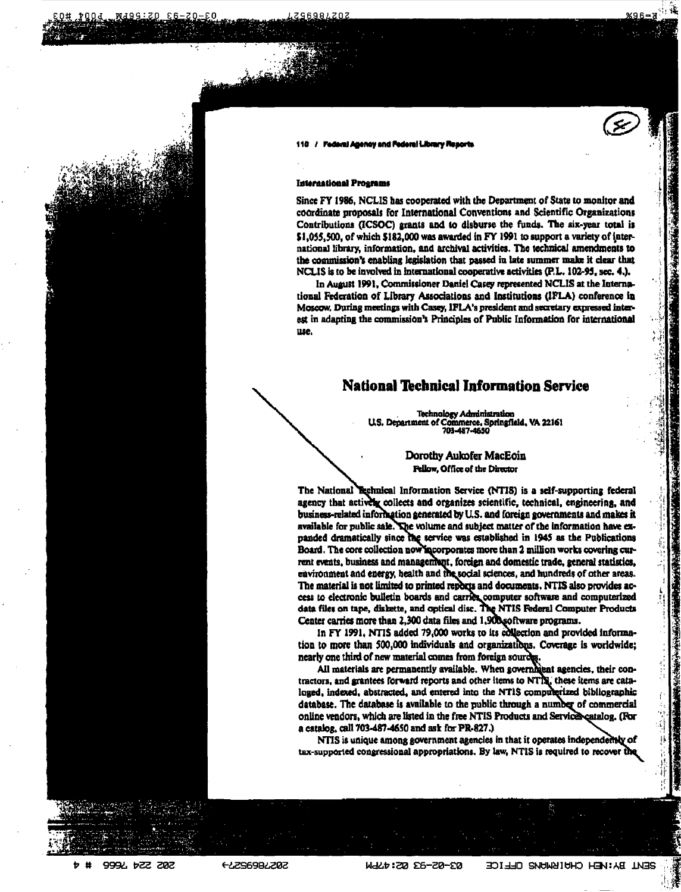

#### / Federal Atlency and Federal Library Resorts

#### **International Programs**

Since FY 1986, NCLIS has cooperated with the Department of State to monitor and coordinate proposals for International Conventions and Scientific Organizations Contributions (ICSOC) grants and to disburse the funds. The six-year total is \$1,055,500, of which \$182,000 was awarded in FY 1991 to support a variety of international library, information, and archival activities. The technical amendments to the commission's enabling legislation that passed in late summer make it clear that NCLIS is to be involved in international cooperative activities (P.L. 102-95, sec. 4.).

In August 1991, Commissioner Daniel Casey represented NCLIS at the International Federation of Library Associations and Institutions (IFLA) conference in Moscow, During meetings with Casey, IFLA's president and secretary expressed interest in adapting the commission's Principles of Public Information for international use.

# **National Technical Information Service**

Technology Administration<br>U.S. Department of Commerce, Springfield, VA 22161 703-487-4650

> Dorothy Aukofer MacEoin Fellow, Office of the Director

The National Technical Information Service (NTIS) is a self-supporting federal agency that actively collects and organizes scientific, technical, engineering, and business-related information generated by U.S. and foreign governments and makes it available for public sale. The volume and subject matter of the information have expanded dramatically since the service was established in 1945 as the Publications Board. The core collection now incorporates more than 2 million works covering current events, business and management, foreign and domestic trade, general statistics, environment and energy, health and the social sciences, and hundreds of other areas. The material is not limited to printed reports and documents. NTIS also provides access to electronic bulletin boards and carries computer software and computerized data files on tape, diskette, and optical disc. The NTIS Federal Computer Products Center carries more than 2,300 data files and 1,900 software programs.

In FY 1991, NTIS added 79,000 works to its edilection and provided information to more than 500,000 individuals and organizations. Coverage is worldwide; nearly one third of new material comes from foreign sources.

All materials are permanently available. When governitiont agencies, their contractors, and grantees forward reports and other items to NTT. these items are cataloged, indexed, abstracted, and entered into the NTIS computerized bibliographic database. The database is available to the public through a number of commercial online vendors, which are listed in the free NTIS Products and Services catalog. (For a catalog, call 703-487-4650 and ask for PR-827.)

NTIS is unique among government agencies in that it operates independently of tax-supported congressional appropriations. By law, NTIS is required to recover the

9994 b22 202

**FLZS698LZ0Z** 

**WALD:20 26-20-20** SENI BA: VEH CHUIBWUNS OLLICE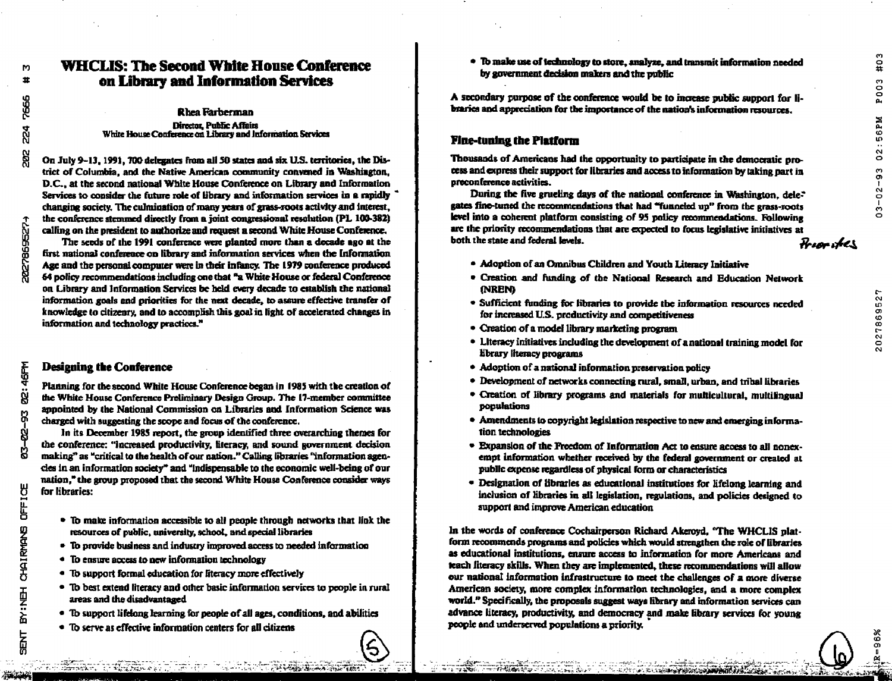202786952

# **WHCLIS: The Second White House Conference** on Library and Information Services

**Rhea Farberman** Director, Public Affairs White House Conference on Library and Information Services

On July 9-13, 1991, 700 delegates from all 50 states and six U.S. territories, the District of Columbia, and the Native American community convened in Washiagton, D.C., at the second national White House Conference on Library and Information Services to consider the future role of library and information services in a rapidly changing society. The culmination of many years of grass-roots activity and interest, the conference stemmed directly from a joint congressional resolution (PL 100-382) calling on the president to authorize and request a second White House Conference.

The seeds of the 1991 conference were planted more than a decade ago at the first national conference on library and information services when the Information Age and the personal computer were in their infancy. The 1979 conference produced 64 policy recommendations including one that "a White House or federal Conference on Library and Information Services be held every decade to establish the national information goals and priorities for the next decade, to assure effective transfer of knowledge to citizenry, and to accomplish this goal in light of accelerated changes in information and technology practices."

### **Designing the Conference**

Planning for the second White House Conference began in 1985 with the creation of the White House Conference Preliminary Design Group. The 17-member committee appointed by the National Commission on Libraries and Information Science was charged with suggesting the scope and focus of the conference.

In its December 1985 report, the group identified three overarching themes for the conference: "increased productivity, literacy, and sound government decision making" as "critical to the health of our nation." Calling libraries "information agencles in an information society" and "indispensable to the economic well-being of our nation." the group proposed that the second White House Conference consider ways for libraries:

- To make information accessible to all people through networks that link the resources of public, university, school, and special libraries
- To provide business and industry improved access to needed information
- To ensure access to new information technology
- To support formal education for fiteracy more effectively
- To best extend literacy and other basic information services to people in rural areas and the disadvantaged
- To support lifelong learning for people of all ages, conditions, and abilities
- To serve as effective information centers for all citizens

• To make use of technology to store, analyze, and transmit information needed by government decision makers and the public

A secondary purpose of the conference would be to increase public support for libraries and appreciation for the importance of the nation's information resources.

## **Fine-tuning the Platform**

Thousands of Americans had the opportunity to participate in the democratic process and express their support for libraries and access to information by taking part in preconference activities.

During the five grueling days of the national conference in Washington, dele- $\ddot{\,}$ gates fine-tuned the recommendations that had "funneled up" from the grass-roots level into a coherent platform consisting of 95 policy recommendations. Following are the priority recommendations that are expected to focus legislative initiatives at both the state and federal levels. Fron tes

- Adoption of an Omnibus Children and Youth Literacy Initiative
- · Creation and funding of the National Research and Education Network **NREN**
- Sufficient funding for libraries to provide the information resources needed for increased U.S. productivity and competitiveness
- Creation of a model library marketing program
- Literacy initiatives including the development of a national training model for library literacy programs
- Adoption of a national information preservation policy
- Development of networks connecting rural, small, urban, and tribal libraries
- Creation of library programs and materials for multicultural, multilingual populations
- Amendments to copyright legislation respective to new and emerging information technologies
- Expansion of the Preedom of Information Act to ensure access to all nonexempt information whether received by the federal government or created at public expense regardless of physical form or characteristics
- Designation of libraries as educational institutions for lifelong learning and inclusion of libraries in all legislation, regulations, and policies designed to support and improve American education

In the words of conference Cochairperson Richard Akeroyd, "The WHCLIS platform recommends programs and policies which would strengthen the role of libraries as educational institutions, ensure access to information for more Americans and teach fiteracy skills. When they are implemented, these recommendations will allow our national information infrastructure to meet the challenges of a more diverse American society, more complex information technologies, and a more complex world.<sup>"</sup> Specifically, the proposals suggest ways library and information services can advance literacy, productivity, and democracy and make library services for young people and underserved populations a priority.

8

ß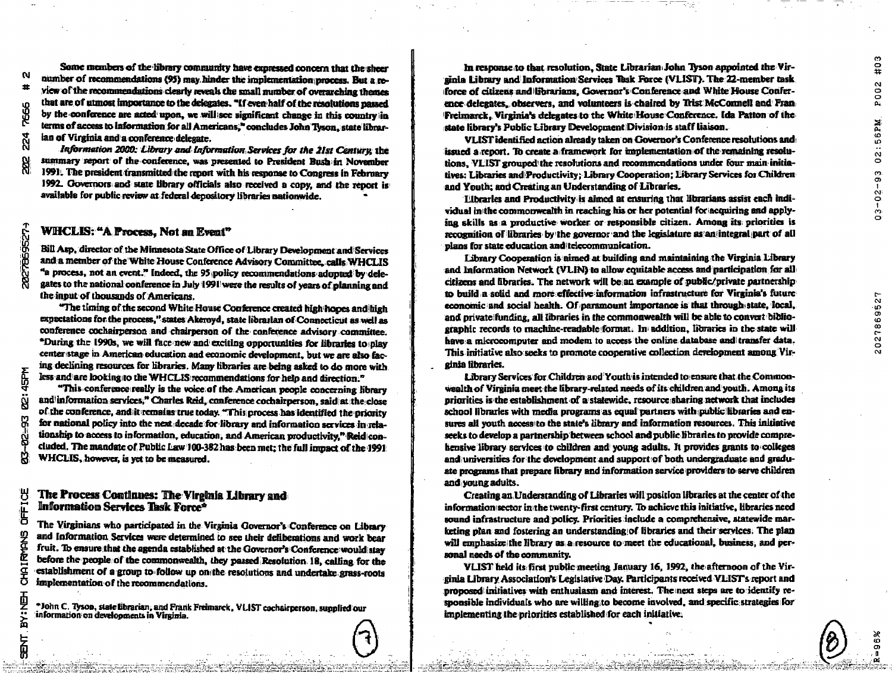2027869527

Some members of the library community have expressed concern that the sheer number of recommendations (95) may hinder the implementation process. But a review of the recommendations clearly reveals the small number of overarching themes that are of utmost importance to the delegates. "If even half of the resolutions passed by the conference are acted upon, we will see significant change in this country in terms of access to information for all Americans." concludes John Tyson, state librarian of Virginia and a conference delegate.

Information 2000: Library and Information Services for the 21st Century the summary report of the conference, was presented to President Bush in November 1991. The president transmitted the report with his response to Congress in February 1992. Governors and state library officials also received a copy, and the report is available for public review at federal depository libraries pationwide.

# WHCLIS: "A Process, Not an Event"

Bill Asp. director of the Minnesota State Office of Library Development and Services and a member of the White House Conference Advisory Committee, calls WHCLIS "a process, not an event." Indeed, the 95 policy recommendations adopted by delegates to the national conference in July 1991 were the results of years of planning and the input of thousands of Americans.

"The timing of the second White House Conference created high hopes and high expectations for the process," states Akeroyd, state librarian of Connecticut as well as conference cochairperson and chairperson of the conference advisory committee. "During the 1990s, we will face new and exciting opportunities for libraries to play center stage in American education and economic development, but we are also facing declining resources for libraries. Many libraries are being asked to do more with less and are looking to the WHCLIS recommendations for help and direction."

"This conference really is the voice of the American people concerning library and information services," Charles Reid, conference cochairperson, said at the close of the conference, and it remains true today. "This process has identified the priority for national policy into the next decade for library and information services in relationship to access to information, education, and American productivity." Reidiconcluded. The mandate of Public Law 100-382 has been met; the full impact of the 1991 WHCLIS, however, is yet to be measured.

## The Process Continues: The Virginia Library and Information Services Task Force<sup>2</sup>

The Virginians who participated in the Virginia Governor's Conference on Library and Information Services were determined to see their deliberations and work bear fruit. To ensure that the agenda established at the Governor's Conference would stay before the people of the commonwealth, they passed Resolution 18, calling for the establishment of a group to follow up on the resolutions and undertake grass-roots implementation of the recommendations.

\*John C. Tyson, state librarian, and Frank Freimarck, VLIST cochairperson, supplied our information on developments in Virginia.

In response to that resolution, State Librarian John Tyson appointed the Virsinia Library and Information Services Task Force (VLIST). The 22-member task force of citizens and librarians. Governor's Conference and White House Conference delegates, observers, and volunteers is chaired by Trist McConnell and Fran Freimarck, Virginia's delegates to the White House Conference, Ida Patton of the state library's Public Library Development Division is staff liaison.

VLIST identified action already taken on Governor's Conference resolutions and issued a report. To create a framework for implementation of the remaining resolutions. VLIST grouped the resolutions and recommendations under four main initiatives: Libraries and Productivity: Library Cooperation: Library Services for Children and Youth: and Creating an Understanding of Libraries.

Elbrarles and Productivity is aimed at ensuring that librarians assist each individual in the commonwealth in reaching his or her potential for acquiring and applying skills as a productive worker or responsible citizen. Among its priorities is recognition of libraries by the governor and the legislature as an integral part of all plans for state education and telecommunication.

Library Cooperation is nimed at building and maintaining the Virginia Library and Information Network (VLIN) to allow equitable access and participation for all citizens and libraries. The network will be an example of public/private partnership to build a solid and more effective information infrastructure for Virginia's future economic and social health. Of paramount importance is that through state, local, and private funding, all idencies in the commonwealth will be able to convert bibliographic records to machine-readable format. In addition, libraries in the state will have a microcomputer and modem to access the online database and transfer data. This initiative also seeks to promote cooperative collection development among Vircinia libraries.

Library Services for Children and Youth is intended to ensure that the Commonwealth of Virginia meet the library-related needs of its children and youth. Among its priorities is the establishment of a statewide, resource sharing network that includes school libraries with media programs as equal partners with public libraries and ensures all youth access to the state's library and information resources. This initiative seeks to develop a partnership between school and public libraries to provide comprehensive library services to children and young adults. It provides grants to colleges and universities for the development and support of both undergraduate and graduate programs that prepare library and information service providers to serve children and young adults.

Creating an Understanding of Libraries will position libraries at the center of the information sector in the twenty-first century. To achieve this initiative, libraries need sound infrastructure and policy. Priorities include a comprehensive, statewide marketing plan and fostering an understanding of libraries and their services. The plan will emphasize the library as a resource to meet the educational, business, and personal needs of the community.

VLIST held its first public meeting January 16, 1992, the afternoon of the Virginia Library Association's Legislative Day, Participants received VLIST's report and proposed initiatives with enthusiasm and interest. The next steps are to identify responsible individuals who are willing to become involved, and specific strategies for implementing the priorities established for each initiative.

7666

Ñ

45PM ġ **OFFICE** 

CHAIRMANS

西岩石

と思